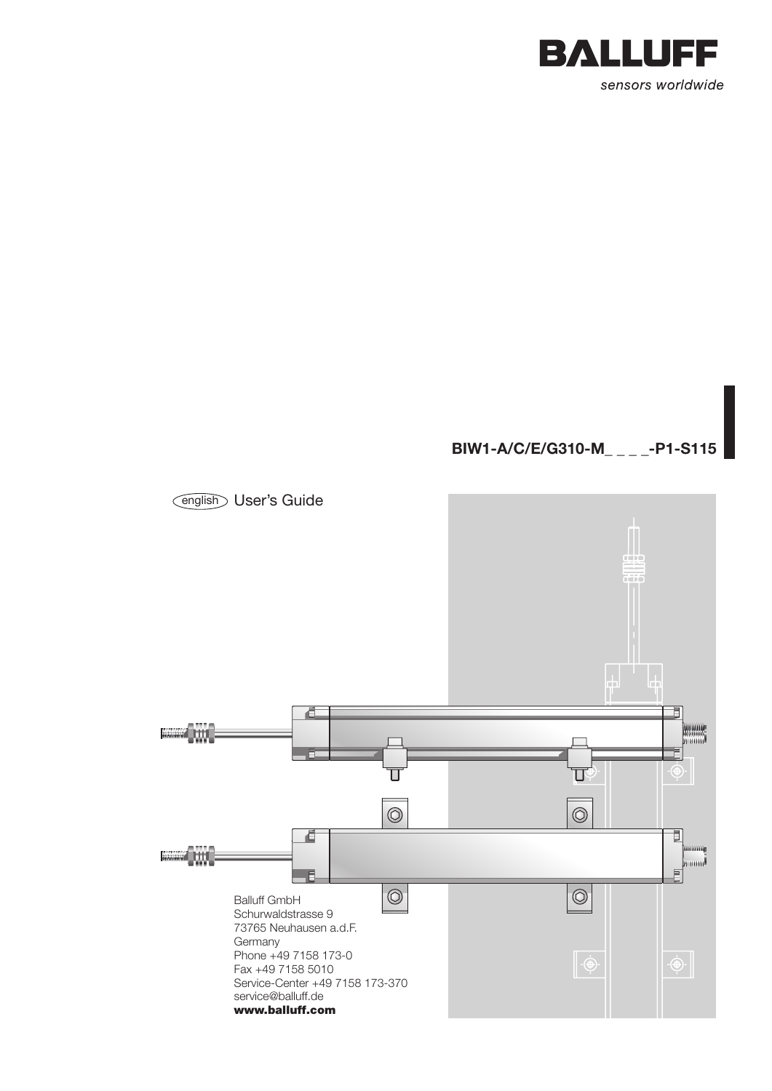

# **BIW1-A/C/E/G310-M\_ \_ \_ \_-P1-S115**

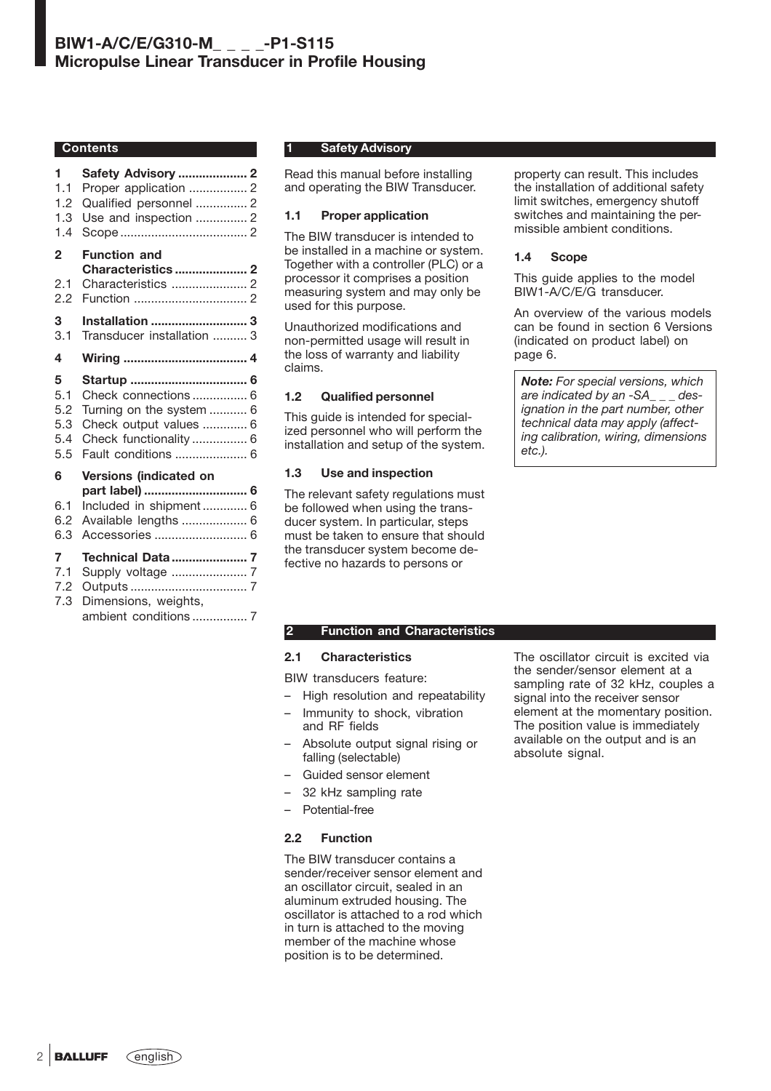### **Contents**

| 1              | Safety Advisory  2         |  |
|----------------|----------------------------|--|
| 1.1            | Proper application  2      |  |
| 1.2            | Qualified personnel  2     |  |
| 1.3            | Use and inspection  2      |  |
| 1.4            |                            |  |
| $\overline{2}$ | <b>Function and</b>        |  |
|                | Characteristics 2          |  |
| 2.1            | Characteristics  2         |  |
| 2.2            |                            |  |
| 3              | <b>Installation  3</b>     |  |
| 3.1            | Transducer installation  3 |  |
| 4              |                            |  |
| 5              |                            |  |
| 5.1            | Check connections  6       |  |
| 5.2            | Turning on the system  6   |  |
| 5.3            | Check output values  6     |  |
| 5.4            | Check functionality  6     |  |
| 5.5            | Fault conditions  6        |  |
| 6              | Versions (indicated on     |  |
|                | part label)  6             |  |
| 6.1            | Included in shipment 6     |  |
| 6.2            | Available lengths  6       |  |
| 6.3            | Accessories  6             |  |
| 7              | <b>Technical Data  7</b>   |  |
| 7.1            | Supply voltage  7          |  |
| 7.2            |                            |  |
| 7.3            | Dimensions, weights,       |  |
|                | ambient conditions  7      |  |

# **1 Safety Advisory**

Read this manual before installing and operating the BIW Transducer.

## **1.1 Proper application**

The BIW transducer is intended to be installed in a machine or system. Together with a controller (PLC) or a processor it comprises a position measuring system and may only be used for this purpose.

Unauthorized modifications and non-permitted usage will result in the loss of warranty and liability claims.

# **1.2 Qualified personnel**

This guide is intended for specialized personnel who will perform the installation and setup of the system.

# **1.3 Use and inspection**

The relevant safety regulations must be followed when using the transducer system. In particular, steps must be taken to ensure that should the transducer system become defective no hazards to persons or

property can result. This includes the installation of additional safety limit switches, emergency shutoff switches and maintaining the permissible ambient conditions.

## **1.4 Scope**

This guide applies to the model BIW1-A/C/E/G transducer.

An overview of the various models can be found in section 6 Versions (indicated on product label) on page 6.

*Note: For special versions, which are indicated by an -SA\_ \_ \_ designation in the part number, other technical data may apply (affecting calibration, wiring, dimensions etc.).*

## **2 Function and Characteristics**

# **2.1 Characteristics**

BIW transducers feature:

- High resolution and repeatability
- Immunity to shock, vibration and RF fields
- Absolute output signal rising or falling (selectable)
- Guided sensor element
- 32 kHz sampling rate
- Potential-free

# **2.2 Function**

The BIW transducer contains a sender/receiver sensor element and an oscillator circuit, sealed in an aluminum extruded housing. The oscillator is attached to a rod which in turn is attached to the moving member of the machine whose position is to be determined.

The oscillator circuit is excited via the sender/sensor element at a sampling rate of 32 kHz, couples a signal into the receiver sensor element at the momentary position. The position value is immediately available on the output and is an absolute signal.

2 **BALLUFF**  $\widehat{C}$  english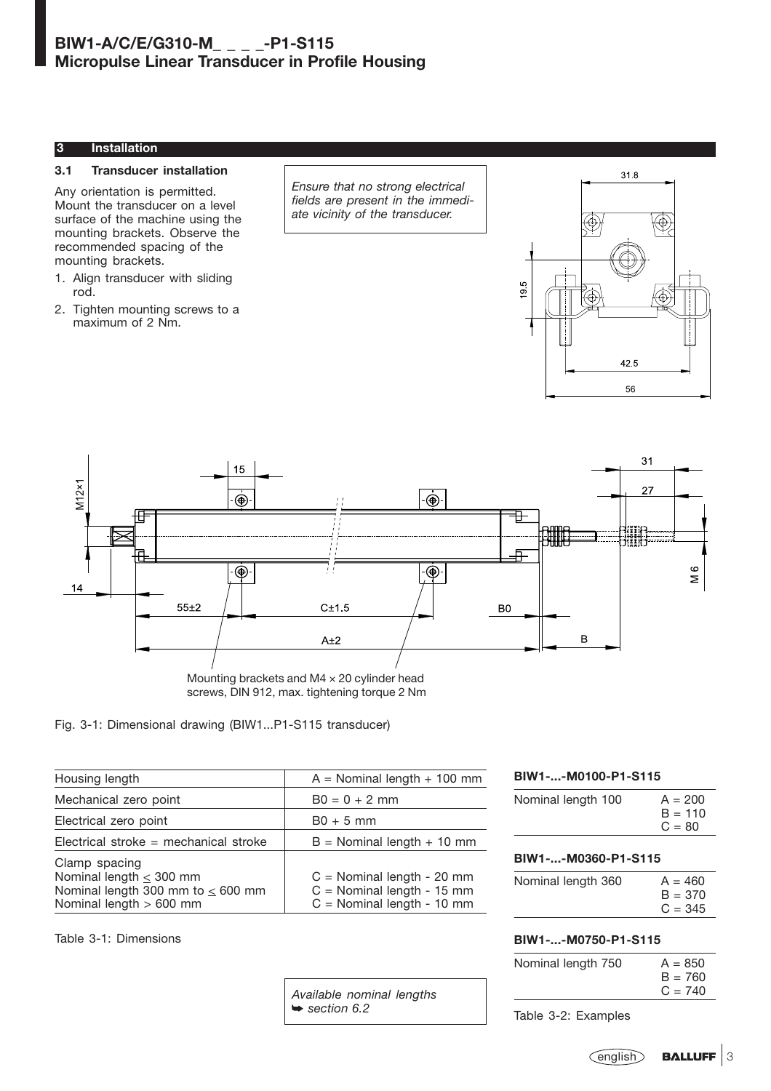## **3 Installation**

### **3.1 Transducer installation**

Any orientation is permitted. Mount the transducer on a level surface of the machine using the mounting brackets. Observe the recommended spacing of the mounting brackets.

- 1. Align transducer with sliding rod.
- 2. Tighten mounting screws to a maximum of 2 Nm.

*Ensure that no strong electrical fields are present in the immediate vicinity of the transducer.*





screws, DIN 912, max. tightening torque 2 Nm

# Fig. 3-1: Dimensional drawing (BIW1...P1-S115 transducer)

| Housing length                                                                                                       | $A =$ Nominal length + 100 mm                                                                |  |
|----------------------------------------------------------------------------------------------------------------------|----------------------------------------------------------------------------------------------|--|
| Mechanical zero point                                                                                                | $B0 = 0 + 2$ mm                                                                              |  |
| Electrical zero point                                                                                                | $B0 + 5$ mm                                                                                  |  |
| Electrical stroke = mechanical stroke                                                                                | $B =$ Nominal length $+$ 10 mm                                                               |  |
| Clamp spacing<br>Nominal length $\leq$ 300 mm<br>Nominal length 300 mm to $\leq 600$ mm<br>Nominal length $> 600$ mm | $C =$ Nominal length - 20 mm<br>$C =$ Nominal length - 15 mm<br>$C =$ Nominal length - 10 mm |  |

Table 3-1: Dimensions

**BIW1-...-M0100-P1-S115**

| Nominal length 100 | $A = 200$<br>$B = 110$<br>$C = 80$ |
|--------------------|------------------------------------|
|                    |                                    |

## **BIW1-...-M0360-P1-S115**

| Nominal length 360 | $A = 460$ |
|--------------------|-----------|
|                    | $B = 370$ |
|                    | $C = 345$ |

## **BIW1-...-M0750-P1-S115**

| Nominal length 750 | $A = 850$ |
|--------------------|-----------|
|                    | $B = 760$ |
|                    | $C = 740$ |

*Available nominal lengths* ➥ *section 6.2*

Table 3-2: Examples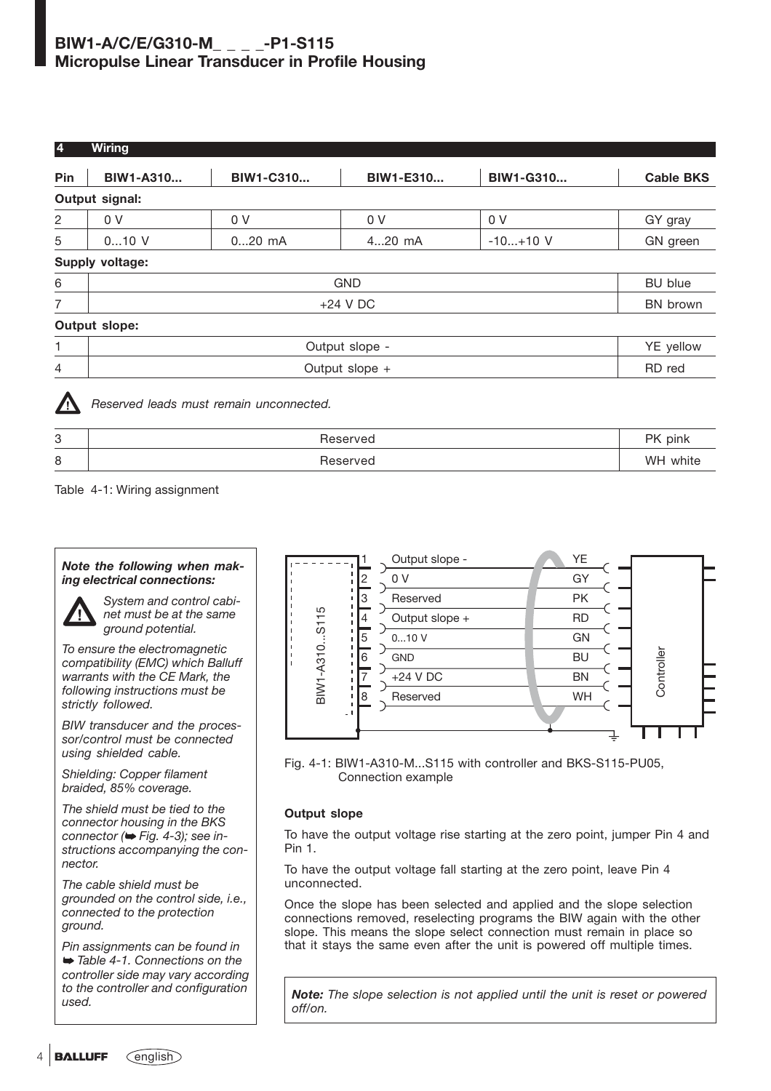| $\overline{\mathbf{4}}$ | <b>Wiring</b>               |                  |                |                |                  |
|-------------------------|-----------------------------|------------------|----------------|----------------|------------------|
| Pin                     | <b>BIW1-A310</b>            | <b>BIW1-C310</b> | BIW1-E310      | BIW1-G310      | <b>Cable BKS</b> |
|                         | Output signal:              |                  |                |                |                  |
| $\overline{c}$          | 0 <sub>V</sub>              | 0 <sub>V</sub>   | 0 <sub>V</sub> | 0 <sub>V</sub> | GY gray          |
| 5                       | $010$ V                     | $020$ mA         | 420 mA         | $-10+10$ V     | GN green         |
|                         | Supply voltage:             |                  |                |                |                  |
| 6                       |                             |                  | <b>GND</b>     |                | <b>BU</b> blue   |
| 7                       | $+24$ V DC                  |                  |                | BN brown       |                  |
|                         | Output slope:               |                  |                |                |                  |
| 1                       | YE yellow<br>Output slope - |                  |                |                |                  |
| 4                       |                             |                  | Output slope + |                | RD red           |
| ▲                       |                             |                  |                |                |                  |



*Reserved leads must remain unconnected.*

| 3 | Reserved | PK pink  |
|---|----------|----------|
| 8 | Reserved | WH white |

Table 4-1: Wiring assignment

# *Note the following when making electrical connections:*



*System and control cabinet must be at the same ground potential.*

*To ensure the electromagnetic compatibility (EMC) which Balluff warrants with the CE Mark, the following instructions must be strictly followed.*

*BIW transducer and the processor/control must be connected using shielded cable.*

*Shielding: Copper filament braided, 85% coverage.*

*The shield must be tied to the connector housing in the BKS connector (*➥ *Fig. 4-3); see instructions accompanying the connector.*

*The cable shield must be grounded on the control side, i.e., connected to the protection ground.*

*Pin assignments can be found in* ➥ *Table 4-1. Connections on the controller side may vary according to the controller and configuration used.*



Fig. 4-1: BIW1-A310-M...S115 with controller and BKS-S115-PU05, Connection example

# **Output slope**

To have the output voltage rise starting at the zero point, jumper Pin 4 and Pin 1.

To have the output voltage fall starting at the zero point, leave Pin 4 unconnected.

Once the slope has been selected and applied and the slope selection connections removed, reselecting programs the BIW again with the other slope. This means the slope select connection must remain in place so that it stays the same even after the unit is powered off multiple times.

*Note: The slope selection is not applied until the unit is reset or powered off/on.*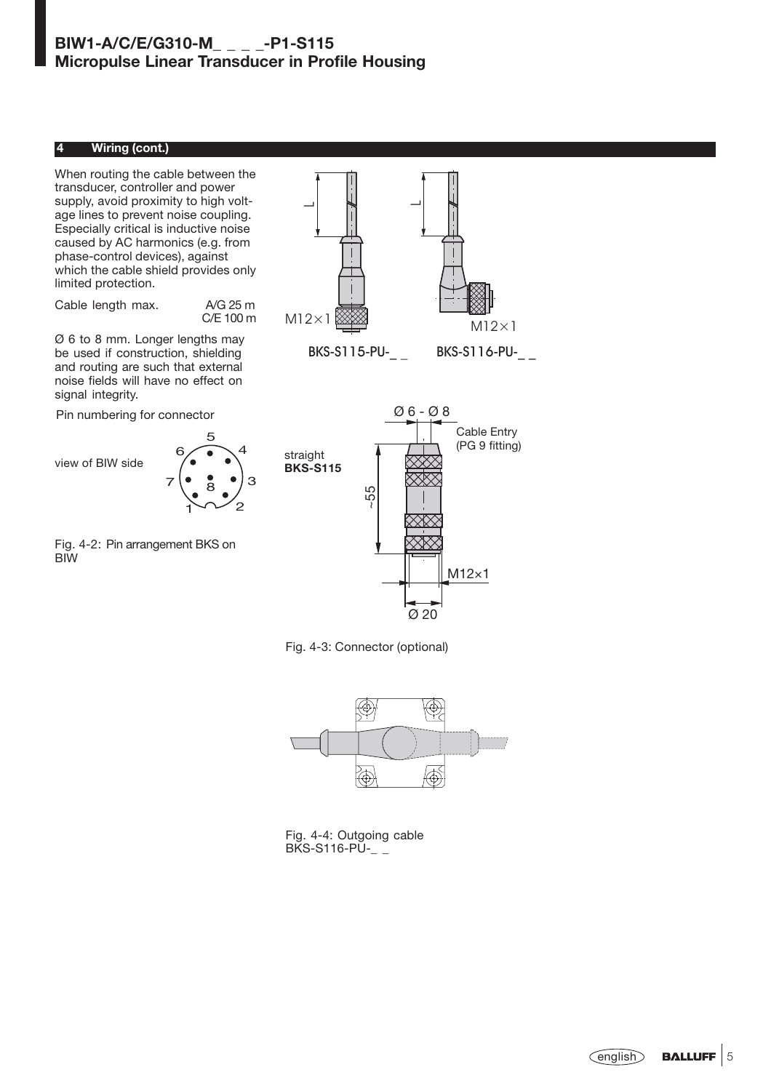# **4 Wiring (cont.)**

When routing the cable between the transducer, controller and power supply, avoid proximity to high voltage lines to prevent noise coupling. Especially critical is inductive noise caused by AC harmonics (e.g. from phase-control devices), against which the cable shield provides only limited protection.

Cable length max. A/G 25 m C/E 100 m

Ø 6 to 8 mm. Longer lengths may be used if construction, shielding and routing are such that external noise fields will have no effect on signal integrity.

Pin numbering for connector



BIW

Fig. 4-2: Pin arrangement BKS on



straight **BKS-S115** ~55 Ø 20 M12×1

Fig. 4-3: Connector (optional)



Fig. 4-4: Outgoing cable  $BKS-S116-PU$ - $=$ 



Ø 6 - Ø 8

Cable Entry (PG 9 fitting)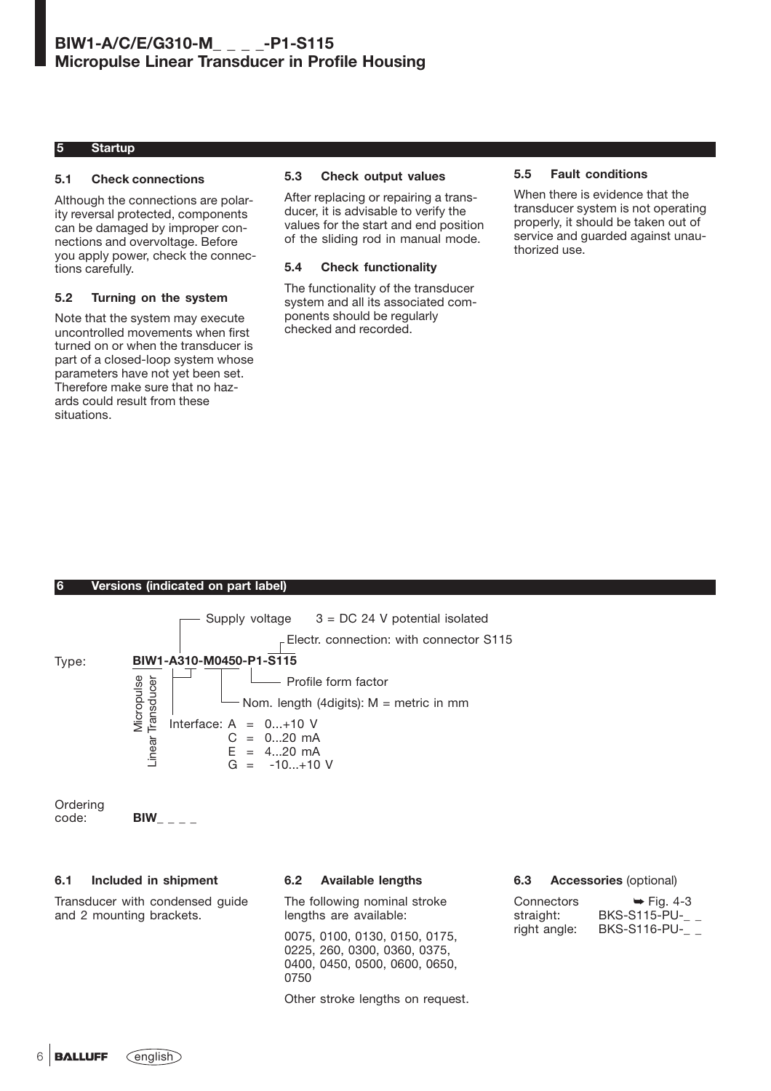## **5 Startup**

### **5.1 Check connections**

Although the connections are polarity reversal protected, components can be damaged by improper connections and overvoltage. Before you apply power, check the connections carefully.

## **5.2 Turning on the system**

Note that the system may execute uncontrolled movements when first turned on or when the transducer is part of a closed-loop system whose parameters have not yet been set. Therefore make sure that no hazards could result from these situations.

### **5.3 Check output values**

After replacing or repairing a transducer, it is advisable to verify the values for the start and end position of the sliding rod in manual mode.

#### **5.4 Check functionality**

The functionality of the transducer system and all its associated components should be regularly checked and recorded.

### **5.5 Fault conditions**

When there is evidence that the transducer system is not operating properly, it should be taken out of service and quarded against unauthorized use.

## **6 Versions (indicated on part label)**

|          | Supply voltage $3 = DC 24$ V potential isolated<br>$E$ Electr. connection: with connector S115                                                                                                                 |
|----------|----------------------------------------------------------------------------------------------------------------------------------------------------------------------------------------------------------------|
| Type:    | BIW1-A310-M0450-P1-S115<br>Micropulse<br>Transducer<br>Profile form factor<br>Nom. length (4digits): $M =$ metric in mm<br>Interface: $A = 0+10$ V<br>$C = 020$ mA<br>Linear<br>$E = 420$ mA<br>$G = -10+10$ V |
| Ordering |                                                                                                                                                                                                                |

code: **BIW\_ \_ \_ \_**

## **6.1 Included in shipment**

Transducer with condensed guide and 2 mounting brackets.

## **6.2 Available lengths**

The following nominal stroke lengths are available:

0075, 0100, 0130, 0150, 0175, 0225, 260, 0300, 0360, 0375, 0400, 0450, 0500, 0600, 0650, 0750

Other stroke lengths on request.

#### **6.3 Accessories** (optional)

| Connectors   | $\blacktriangleright$ Fig. 4-3 |
|--------------|--------------------------------|
| straight:    | <b>BKS-S115-PU-</b>            |
| right angle: | <b>BKS-S116-PU-</b>            |